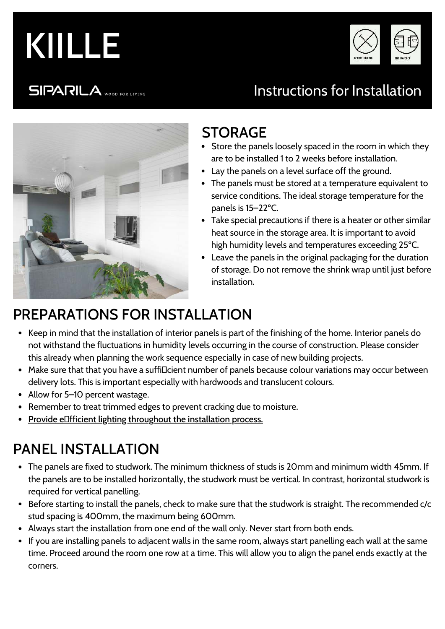



**SIPARILA** WOOD FOR LIVING

# Instructions for Installation



### STORAGE

- Store the panels loosely spaced in the room in which they are to be installed 1 to 2 weeks before installation.
- Lay the panels on a level surface off the ground.
- The panels must be stored at a temperature equivalent to service conditions. The ideal storage temperature for the panels is 15–22ºC.
- Take special precautions if there is a heater or other similar heat source in the storage area. It is important to avoid high humidity levels and temperatures exceeding 25ºC.
- Leave the panels in the original packaging for the duration of storage. Do not remove the shrink wrap until just before installation.

# PREPARATIONS FOR INSTALLATION

- Keep in mind that the installation of interior panels is part of the finishing of the home. Interior panels do not withstand the fluctuations in humidity levels occurring in the course of construction. Please consider this already when planning the work sequence especially in case of new building projects.
- Make sure that that you have a suffillcient number of panels because colour variations may occur between delivery lots. This is important especially with hardwoods and translucent colours.
- Allow for 5–10 percent wastage.
- Remember to treat trimmed edges to prevent cracking due to moisture.
- Provide eDfficient lighting throughout the installation process.

# PANEL INSTALLATION

- The panels are fixed to studwork. The minimum thickness of studs is 20mm and minimum width 45mm. If the panels are to be installed horizontally, the studwork must be vertical. In contrast, horizontal studwork is required for vertical panelling.
- Before starting to install the panels, check to make sure that the studwork is straight. The recommended c/c stud spacing is 400mm, the maximum being 600mm.
- Always start the installation from one end of the wall only. Never start from both ends.
- If you are installing panels to adjacent walls in the same room, always start panelling each wall at the same time. Proceed around the room one row at a time. This will allow you to align the panel ends exactly at the corners.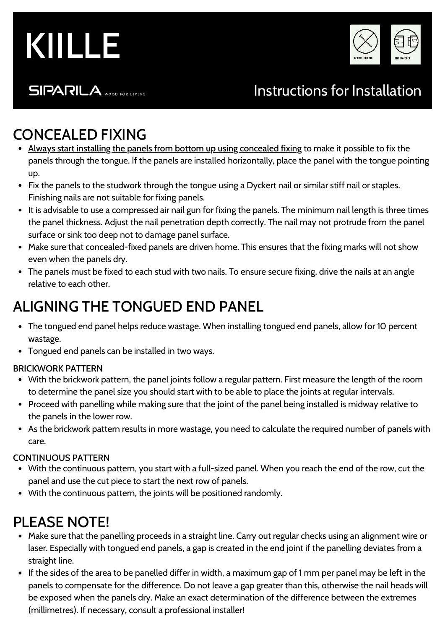



**SIPARILA** WOOD FOR LIVING

### Instructions for Installation

### CONCEALED FIXING

- Always start installing the panels from bottom up using concealed fixing to make it possible to fix the panels through the tongue. If the panels are installed horizontally, place the panel with the tongue pointing up.
- Fix the panels to the studwork through the tongue using a Dyckert nail or similar stiff nail or staples. Finishing nails are not suitable for fixing panels.
- It is advisable to use a compressed air nail gun for fixing the panels. The minimum nail length is three times the panel thickness. Adjust the nail penetration depth correctly. The nail may not protrude from the panel surface or sink too deep not to damage panel surface.
- Make sure that concealed-fixed panels are driven home. This ensures that the fixing marks will not show even when the panels dry.
- The panels must be fixed to each stud with two nails. To ensure secure fixing, drive the nails at an angle relative to each other.

### ALIGNING THE TONGUED END PANEL

- The tongued end panel helps reduce wastage. When installing tongued end panels, allow for 10 percent wastage.
- Tongued end panels can be installed in two ways.

#### BRICKWORK PATTERN

- With the brickwork pattern, the panel joints follow a regular pattern. First measure the length of the room to determine the panel size you should start with to be able to place the joints at regular intervals.
- Proceed with panelling while making sure that the joint of the panel being installed is midway relative to the panels in the lower row.
- As the brickwork pattern results in more wastage, you need to calculate the required number of panels with care.

#### CONTINUOUS PATTERN

- With the continuous pattern, you start with a full-sized panel. When you reach the end of the row, cut the panel and use the cut piece to start the next row of panels.
- With the continuous pattern, the joints will be positioned randomly.

### PLEASE NOTE!

- Make sure that the panelling proceeds in a straight line. Carry out regular checks using an alignment wire or laser. Especially with tongued end panels, a gap is created in the end joint if the panelling deviates from a straight line.
- If the sides of the area to be panelled differ in width, a maximum gap of 1 mm per panel may be left in the panels to compensate for the difference. Do not leave a gap greater than this, otherwise the nail heads will be exposed when the panels dry. Make an exact determination of the difference between the extremes (millimetres). If necessary, consult a professional installer!